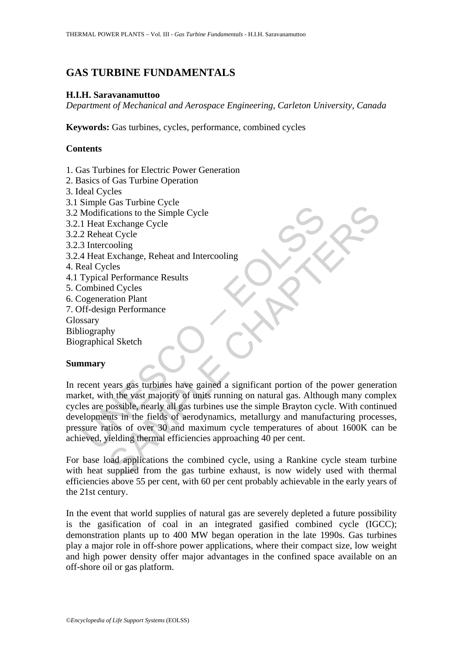# **GAS TURBINE FUNDAMENTALS**

# **H.I.H. Saravanamuttoo**

*Department of Mechanical and Aerospace Engineering, Carleton University, Canada* 

**Keywords:** Gas turbines, cycles, performance, combined cycles

# **Contents**

- 1. Gas Turbines for Electric Power Generation
- 2. Basics of Gas Turbine Operation
- 3. Ideal Cycles
- 3.1 Simple Gas Turbine Cycle
- 3.2 Modifications to the Simple Cycle
- 3.2.1 Heat Exchange Cycle
- 3.2.2 Reheat Cycle
- 3.2.3 Intercooling
- 3.2.4 Heat Exchange, Reheat and Intercooling
- 4. Real Cycles
- 4.1 Typical Performance Results
- 5. Combined Cycles
- 6. Cogeneration Plant
- 7. Off-design Performance
- Glossary

Bibliography

Biographical Sketch

# **Summary**

Modifications to the Simple Cycle<br>
1 Heat Exchange Cycle<br>
1 Heat Exchange Cycle<br>
2 Reheat Cycle<br>
2 Reheat Cycle<br>
3 Intercooling<br>
eal Cycles<br>
eal Cycles<br>
Typical Performance Results<br>
(ombined Cycles<br>
ogeneration Plant<br>
marr Casa ration Cycle<br>
Exchange Cycle<br>
Exchange Cycle<br>
Exchange, Reheat and Intercooling<br>
Exchange, Reheat and Intercooling<br>
Performance<br>
Red Cycles<br>
ation Plant<br>
gn Performance<br>
Hy<br>
al Sketch<br>
by<br>
al Sketch<br>
by<br>
al Sketch<br>
by In recent years gas turbines have gained a significant portion of the power generation market, with the vast majority of units running on natural gas. Although many complex cycles are possible, nearly all gas turbines use the simple Brayton cycle. With continued developments in the fields of aerodynamics, metallurgy and manufacturing processes, pressure ratios of over 30 and maximum cycle temperatures of about 1600K can be achieved, yielding thermal efficiencies approaching 40 per cent.

For base load applications the combined cycle, using a Rankine cycle steam turbine with heat supplied from the gas turbine exhaust, is now widely used with thermal efficiencies above 55 per cent, with 60 per cent probably achievable in the early years of the 21st century.

In the event that world supplies of natural gas are severely depleted a future possibility is the gasification of coal in an integrated gasified combined cycle (IGCC); demonstration plants up to 400 MW began operation in the late 1990s. Gas turbines play a major role in off-shore power applications, where their compact size, low weight and high power density offer major advantages in the confined space available on an off-shore oil or gas platform.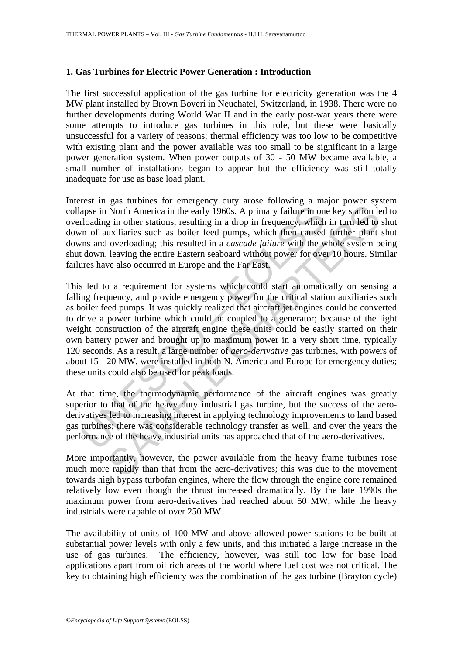### **1. Gas Turbines for Electric Power Generation : Introduction**

The first successful application of the gas turbine for electricity generation was the 4 MW plant installed by Brown Boveri in Neuchatel, Switzerland, in 1938. There were no further developments during World War II and in the early post-war years there were some attempts to introduce gas turbines in this role, but these were basically unsuccessful for a variety of reasons; thermal efficiency was too low to be competitive with existing plant and the power available was too small to be significant in a large power generation system. When power outputs of 30 - 50 MW became available, a small number of installations began to appear but the efficiency was still totally inadequate for use as base load plant.

Interest in gas turbines for emergency duty arose following a major power system collapse in North America in the early 1960s. A primary failure in one key station led to overloading in other stations, resulting in a drop in frequency, which in turn led to shut down of auxiliaries such as boiler feed pumps, which then caused further plant shut downs and overloading; this resulted in a *cascade failure* with the whole system being shut down, leaving the entire Eastern seaboard without power for over 10 hours. Similar failures have also occurred in Europe and the Far East.

apse in North America in the early 1960s. A primary failure in on<br>cloading in other stations, resulting in a drop in frequency, which<br>m of auxiliaries such as boiler feed pumps, which then caused<br>ms and overloading; this r North America in the early 1960s. A primary failure in one key station le prior both America in the early 1960s. A primary failure in one key station le prior tractions, resulting in a drop in frequency, which in turn led This led to a requirement for systems which could start automatically on sensing a falling frequency, and provide emergency power for the critical station auxiliaries such as boiler feed pumps. It was quickly realized that aircraft jet engines could be converted to drive a power turbine which could be coupled to a generator; because of the light weight construction of the aircraft engine these units could be easily started on their own battery power and brought up to maximum power in a very short time, typically 120 seconds. As a result, a large number of *aero-derivative* gas turbines, with powers of about 15 - 20 MW, were installed in both N. America and Europe for emergency duties; these units could also be used for peak loads.

At that time, the thermodynamic performance of the aircraft engines was greatly superior to that of the heavy duty industrial gas turbine, but the success of the aeroderivatives led to increasing interest in applying technology improvements to land based gas turbines; there was considerable technology transfer as well, and over the years the performance of the heavy industrial units has approached that of the aero-derivatives.

More importantly, however, the power available from the heavy frame turbines rose much more rapidly than that from the aero-derivatives; this was due to the movement towards high bypass turbofan engines, where the flow through the engine core remained relatively low even though the thrust increased dramatically. By the late 1990s the maximum power from aero-derivatives had reached about 50 MW, while the heavy industrials were capable of over 250 MW.

The availability of units of 100 MW and above allowed power stations to be built at substantial power levels with only a few units, and this initiated a large increase in the use of gas turbines. The efficiency, however, was still too low for base load applications apart from oil rich areas of the world where fuel cost was not critical. The key to obtaining high efficiency was the combination of the gas turbine (Brayton cycle)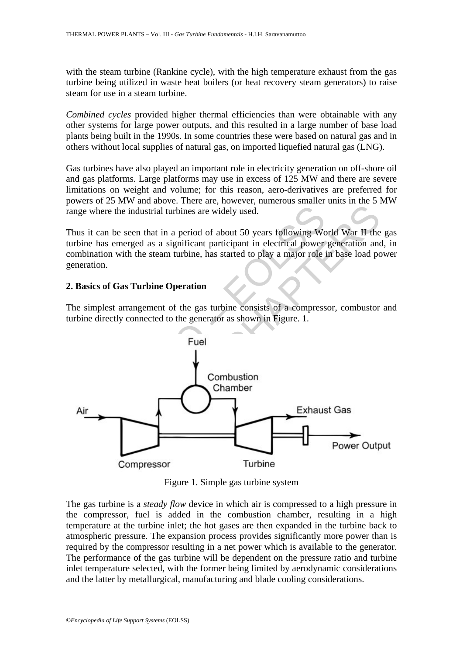with the steam turbine (Rankine cycle), with the high temperature exhaust from the gas turbine being utilized in waste heat boilers (or heat recovery steam generators) to raise steam for use in a steam turbine.

*Combined cycles* provided higher thermal efficiencies than were obtainable with any other systems for large power outputs, and this resulted in a large number of base load plants being built in the 1990s. In some countries these were based on natural gas and in others without local supplies of natural gas, on imported liquefied natural gas (LNG).

Gas turbines have also played an important role in electricity generation on off-shore oil and gas platforms. Large platforms may use in excess of 125 MW and there are severe limitations on weight and volume; for this reason, aero-derivatives are preferred for powers of 25 MW and above. There are, however, numerous smaller units in the 5 MW range where the industrial turbines are widely used.

Thus it can be seen that in a period of about 50 years following World War II the gas turbine has emerged as a significant participant in electrical power generation and, in combination with the steam turbine, has started to play a major role in base load power generation.

#### **2. Basics of Gas Turbine Operation**

The simplest arrangement of the gas turbine consists of a compressor, combustor and turbine directly connected to the generator as shown in Figure. 1.



Figure 1. Simple gas turbine system

The gas turbine is a *steady flow* device in which air is compressed to a high pressure in the compressor, fuel is added in the combustion chamber, resulting in a high temperature at the turbine inlet; the hot gases are then expanded in the turbine back to atmospheric pressure. The expansion process provides significantly more power than is required by the compressor resulting in a net power which is available to the generator. The performance of the gas turbine will be dependent on the pressure ratio and turbine inlet temperature selected, with the former being limited by aerodynamic considerations and the latter by metallurgical, manufacturing and blade cooling considerations.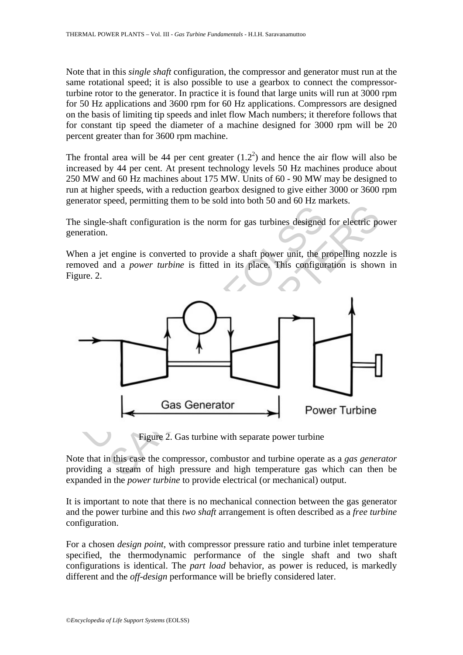Note that in this *single shaft* configuration, the compressor and generator must run at the same rotational speed; it is also possible to use a gearbox to connect the compressorturbine rotor to the generator. In practice it is found that large units will run at 3000 rpm for 50 Hz applications and 3600 rpm for 60 Hz applications. Compressors are designed on the basis of limiting tip speeds and inlet flow Mach numbers; it therefore follows that for constant tip speed the diameter of a machine designed for 3000 rpm will be 20 percent greater than for 3600 rpm machine.

The frontal area will be 44 per cent greater  $(1.2^2)$  and hence the air flow will also be increased by 44 per cent. At present technology levels 50 Hz machines produce about 250 MW and 60 Hz machines about 175 MW. Units of 60 - 90 MW may be designed to run at higher speeds, with a reduction gearbox designed to give either 3000 or 3600 rpm generator speed, permitting them to be sold into both 50 and 60 Hz markets.

The single-shaft configuration is the norm for gas turbines designed for electric power generation.

When a jet engine is converted to provide a shaft power unit, the propelling nozzle is removed and a *power turbine* is fitted in its place. This configuration is shown in Figure. 2.



Figure 2. Gas turbine with separate power turbine

Note that in this case the compressor, combustor and turbine operate as a *gas generator* providing a stream of high pressure and high temperature gas which can then be expanded in the *power turbine* to provide electrical (or mechanical) output.

It is important to note that there is no mechanical connection between the gas generator and the power turbine and this *two shaft* arrangement is often described as a *free turbine* configuration.

For a chosen *design point*, with compressor pressure ratio and turbine inlet temperature specified, the thermodynamic performance of the single shaft and two shaft configurations is identical. The *part load* behavior, as power is reduced, is markedly different and the *off-design* performance will be briefly considered later.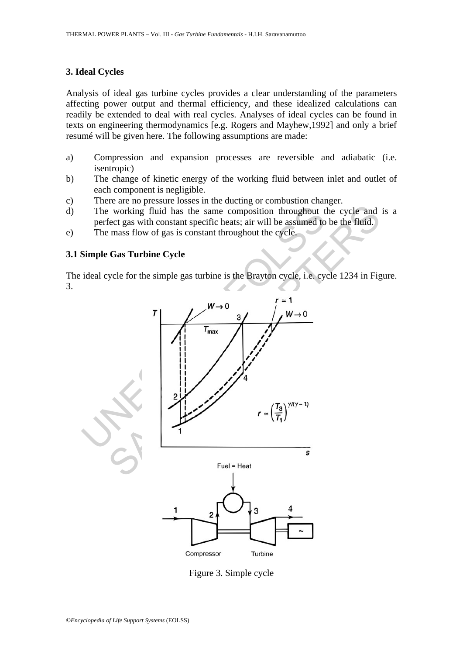### **3. Ideal Cycles**

Analysis of ideal gas turbine cycles provides a clear understanding of the parameters affecting power output and thermal efficiency, and these idealized calculations can readily be extended to deal with real cycles. Analyses of ideal cycles can be found in texts on engineering thermodynamics [e.g. Rogers and Mayhew,1992] and only a brief resumé will be given here. The following assumptions are made:

- a) Compression and expansion processes are reversible and adiabatic (i.e. isentropic)
- b) The change of kinetic energy of the working fluid between inlet and outlet of each component is negligible.
- c) There are no pressure losses in the ducting or combustion changer.
- d) The working fluid has the same composition throughout the cycle and is a perfect gas with constant specific heats; air will be assumed to be the fluid.
- e) The mass flow of gas is constant throughout the cycle.

# **3.1 Simple Gas Turbine Cycle**

The ideal cycle for the simple gas turbine is the Brayton cycle, i.e. cycle 1234 in Figure. 3.



Figure 3. Simple cycle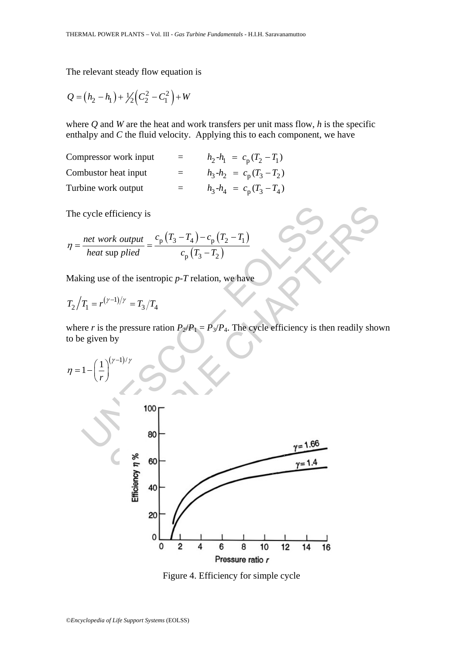The relevant steady flow equation is

$$
Q = (h_2 - h_1) + \frac{1}{2} \left( C_2^2 - C_1^2 \right) + W
$$

where *Q* and *W* are the heat and work transfers per unit mass flow, *h* is the specific enthalpy and  $C$  the fluid velocity. Applying this to each component, we have

| Compressor work input |     | $h_2 - h_1 = c_p (T_2 - T_1)$ |
|-----------------------|-----|-------------------------------|
| Combustor heat input  | $=$ | $h_3-h_2 = c_p (T_3-T_2)$     |
| Turbine work output   |     | $h_3 - h_4 = c_p (T_3 - T_4)$ |

The cycle efficiency is

$$
\eta = \frac{net \ work \ output}{heat \ sup \ piled} = \frac{c_{\rm p} (T_3 - T_4) - c_{\rm p} (T_2 - T_1)}{c_{\rm p} (T_3 - T_2)}
$$

Making use of the isentropic *p*-*T* relation, we have

$$
T_2/T_1 = r^{(\gamma - 1)/\gamma} = T_3/T_4
$$

where *r* is the pressure ration  $P_2/P_1 = P_3/P_4$ . The cycle efficiency is then readily shown to be given by



Figure 4. Efficiency for simple cycle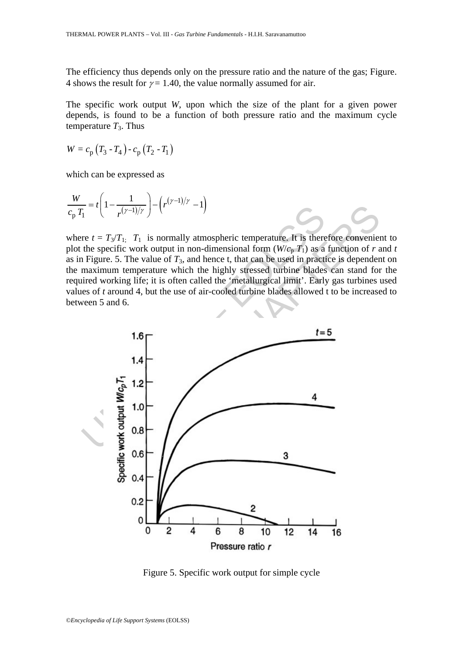The efficiency thus depends only on the pressure ratio and the nature of the gas; Figure. 4 shows the result for  $\gamma = 1.40$ , the value normally assumed for air.

The specific work output *W*, upon which the size of the plant for a given power depends, is found to be a function of both pressure ratio and the maximum cycle temperature  $T_3$ . Thus

$$
W = c_{\text{p}} \left( T_3 - T_4 \right) - c_{\text{p}} \left( T_2 - T_1 \right)
$$

which can be expressed as

$$
\frac{W}{c_p T_1} = t \left( 1 - \frac{1}{r^{(\gamma - 1)/\gamma}} \right) - \left( r^{(\gamma - 1)/\gamma} - 1 \right)
$$

where  $t = T_3/T_1$ ;  $T_1$  is normally atmospheric temperature. It is therefore convenient to plot the specific work output in non-dimensional form  $(W/c_p T_1)$  as a function of *r* and *t* as in Figure. 5. The value of  $T_3$ , and hence t, that can be used in practice is dependent on the maximum temperature which the highly stressed turbine blades can stand for the required working life; it is often called the 'metallurgical limit'. Early gas turbines used values of *t* around 4, but the use of air-cooled turbine blades allowed t to be increased to between 5 and 6.



Figure 5. Specific work output for simple cycle